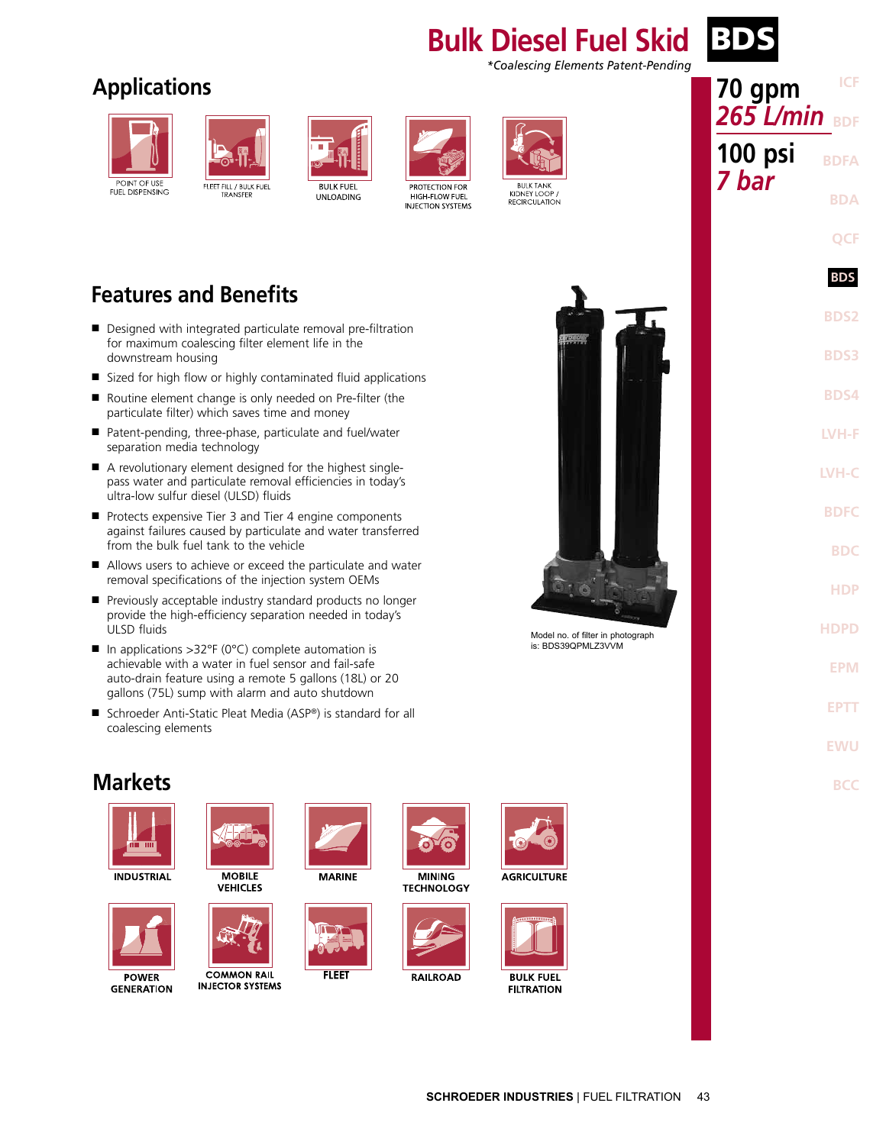### **Bulk Diesel Fuel Skid BD** *\*Coalescing Elements Patent-Pending*

# **Applications**





**BULK FUEL UNLOADING** 



**PROTECTION FOR** HIGH-FLOW FUEL **INJECTION SYSTEMS** 



KIDNEY LOOP RECIRCULATION



- Designed with integrated particulate removal pre-filtration for maximum coalescing filter element life in the downstream housing
- Sized for high flow or highly contaminated fluid applications
- Routine element change is only needed on Pre-filter (the particulate filter) which saves time and money
- Patent-pending, three-phase, particulate and fuel/water separation media technology
- A revolutionary element designed for the highest singlepass water and particulate removal efficiencies in today's ultra-low sulfur diesel (ULSD) fluids
- Protects expensive Tier 3 and Tier 4 engine components against failures caused by particulate and water transferred from the bulk fuel tank to the vehicle
- Allows users to achieve or exceed the particulate and water removal specifications of the injection system OEMs
- Previously acceptable industry standard products no longer provide the high-efficiency separation needed in today's ULSD fluids
- In applications >32°F (0°C) complete automation is achievable with a water in fuel sensor and fail-safe auto-drain feature using a remote 5 gallons (18L) or 20 gallons (75L) sump with alarm and auto shutdown
- Schroeder Anti-Static Pleat Media (ASP®) is standard for all coalescing elements



Model no. of filter in photograph is: BDS39QPMLZ3VVM



## **Markets**



**INDUSTRIAL** 



**GENERATION** 



**MOBILE VEHICLES** 



**COMMON RAIL INJECTOR SYSTEMS** 



**FLEET** 

**MINING TECHNOLOGY** 

ືດ



**RAILROAD** 



**AGRICULTURE** 



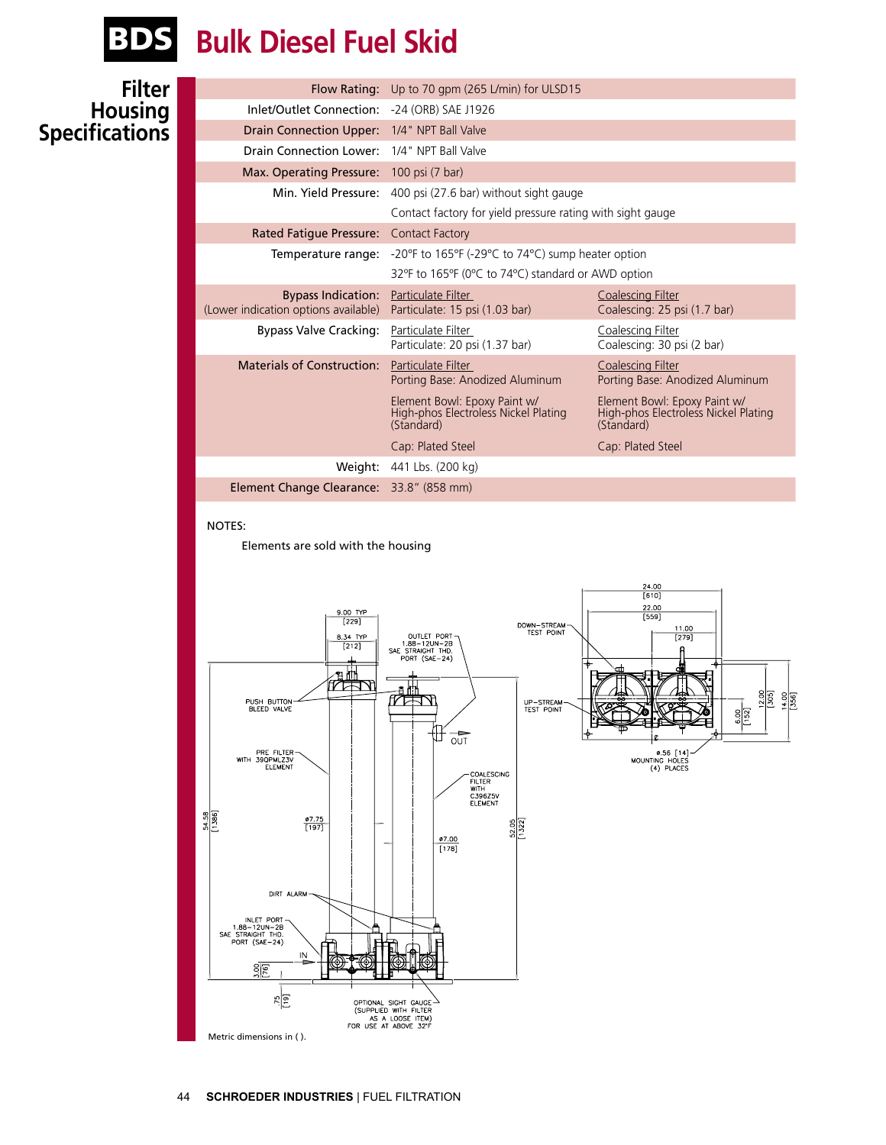

# BDS **Bulk Diesel Fuel Skid**

### **Filter Housing Specifications**

|                                                                   | Flow Rating: Up to 70 gpm (265 L/min) for ULSD15                                   |                                                                                    |  |  |
|-------------------------------------------------------------------|------------------------------------------------------------------------------------|------------------------------------------------------------------------------------|--|--|
| Inlet/Outlet Connection:                                          | -24 (ORB) SAE J1926                                                                |                                                                                    |  |  |
| <b>Drain Connection Upper:</b>                                    | 1/4" NPT Ball Valve                                                                |                                                                                    |  |  |
| Drain Connection Lower:                                           | 1/4" NPT Ball Valve                                                                |                                                                                    |  |  |
| Max. Operating Pressure: 100 psi (7 bar)                          |                                                                                    |                                                                                    |  |  |
| Min. Yield Pressure:                                              | 400 psi (27.6 bar) without sight gauge                                             |                                                                                    |  |  |
|                                                                   | Contact factory for yield pressure rating with sight gauge                         |                                                                                    |  |  |
| <b>Rated Fatigue Pressure:</b>                                    | <b>Contact Factory</b>                                                             |                                                                                    |  |  |
| Temperature range:                                                | -20°F to 165°F (-29°C to 74°C) sump heater option                                  |                                                                                    |  |  |
|                                                                   | 32°F to 165°F (0°C to 74°C) standard or AWD option                                 |                                                                                    |  |  |
| <b>Bypass Indication:</b><br>(Lower indication options available) | Particulate Filter<br>Particulate: 15 psi (1.03 bar)                               | <b>Coalescing Filter</b><br>Coalescing: 25 psi (1.7 bar)                           |  |  |
| <b>Bypass Valve Cracking:</b>                                     | Particulate Filter<br>Particulate: 20 psi (1.37 bar)                               | Coalescing Filter<br>Coalescing: 30 psi (2 bar)                                    |  |  |
| <b>Materials of Construction:</b>                                 | Particulate Filter<br>Porting Base: Anodized Aluminum                              | Coalescing Filter<br>Porting Base: Anodized Aluminum                               |  |  |
|                                                                   | Element Bowl: Epoxy Paint w/<br>High-phos Electroless Nickel Plating<br>(Standard) | Element Bowl: Epoxy Paint w/<br>High-phos Electroless Nickel Plating<br>(Standard) |  |  |
|                                                                   | Cap: Plated Steel                                                                  | Cap: Plated Steel                                                                  |  |  |
|                                                                   | Weight: 441 Lbs. (200 kg)                                                          |                                                                                    |  |  |
| Element Change Clearance: 33.8" (858 mm)                          |                                                                                    |                                                                                    |  |  |
|                                                                   |                                                                                    |                                                                                    |  |  |

#### NOTES:

Elements are sold with the housing

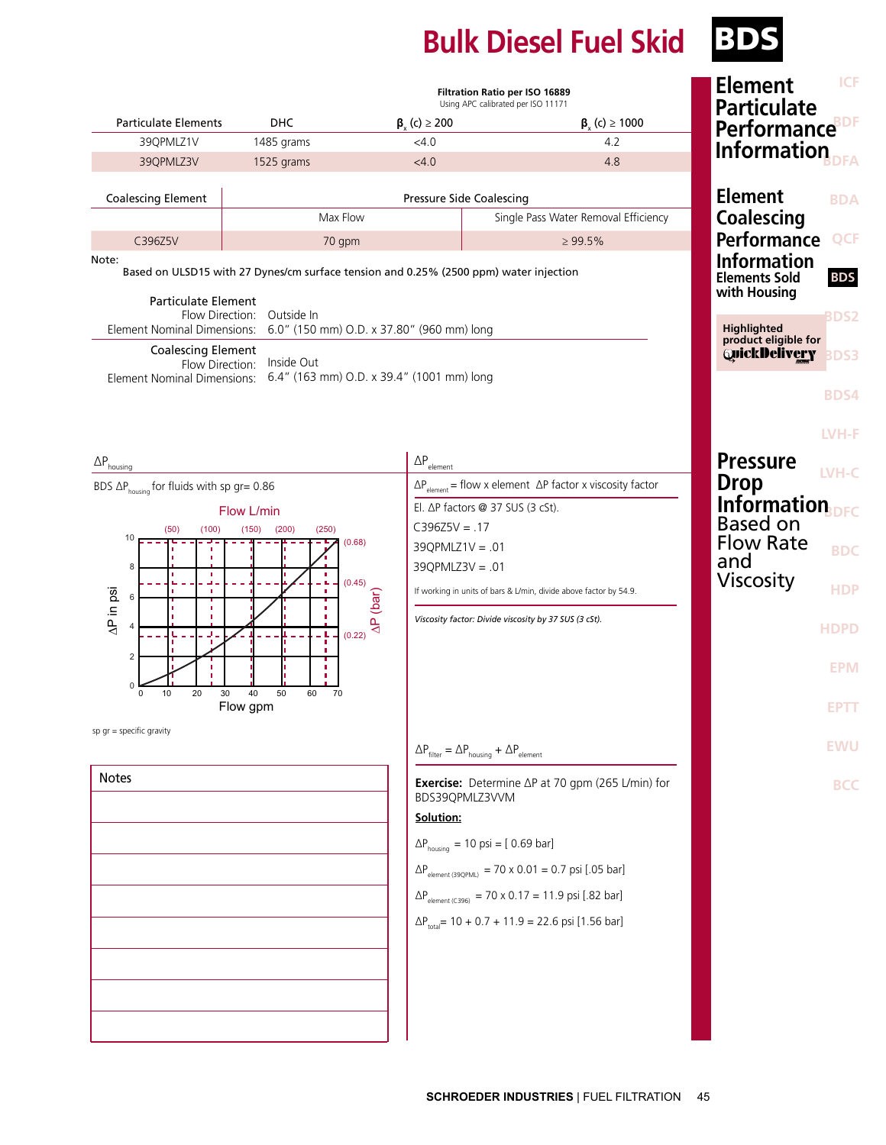# **Bulk Diesel Fuel Skid BDS**

|                                                                                                                                                                                                                                        | Filtration Ratio per ISO 16889<br>Using APC calibrated per ISO 11171                  |                                           |                                                                                    | <b>Element</b><br><b>Particulate</b>                       | <b>ICF</b>  |
|----------------------------------------------------------------------------------------------------------------------------------------------------------------------------------------------------------------------------------------|---------------------------------------------------------------------------------------|-------------------------------------------|------------------------------------------------------------------------------------|------------------------------------------------------------|-------------|
| <b>Particulate Elements</b>                                                                                                                                                                                                            | <b>DHC</b>                                                                            | $\beta_{y}$ (c) $\geq$ 200                | $\beta_{y}$ (c) $\geq 1000$                                                        | <b>Performance</b> <sup>BDF</sup>                          |             |
| 39QPMLZ1V                                                                                                                                                                                                                              | 1485 grams                                                                            | $<$ 4.0                                   | 4.2                                                                                | Information                                                |             |
| 39QPMLZ3V                                                                                                                                                                                                                              | 1525 grams                                                                            | < 4.0                                     | 4.8                                                                                |                                                            |             |
| <b>Coalescing Element</b>                                                                                                                                                                                                              | <b>Pressure Side Coalescing</b>                                                       |                                           | <b>Element</b>                                                                     | <b>BDA</b>                                                 |             |
| Max Flow                                                                                                                                                                                                                               |                                                                                       |                                           | Single Pass Water Removal Efficiency                                               | <b>Coalescing</b>                                          |             |
| C396Z5V                                                                                                                                                                                                                                | 70 gpm<br>$\geq 99.5\%$                                                               |                                           |                                                                                    | <b>Performance</b>                                         | <b>QCF</b>  |
| Note:<br><b>Particulate Element</b>                                                                                                                                                                                                    | Based on ULSD15 with 27 Dynes/cm surface tension and 0.25% (2500 ppm) water injection |                                           |                                                                                    | <b>Information</b><br><b>Elements Sold</b><br>with Housing | <b>BDS</b>  |
| Flow Direction: Outside In<br>Element Nominal Dimensions: 6.0" (150 mm) O.D. x 37.80" (960 mm) long                                                                                                                                    |                                                                                       |                                           | Highlighted<br>product eligible for                                                | <b>BDS2</b>                                                |             |
| <b>Coalescing Element</b><br>Flow Direction: Inside Out<br>Element Nominal Dimensions: 6.4" (163 mm) O.D. x 39.4" (1001 mm) long                                                                                                       |                                                                                       |                                           |                                                                                    | <b>QuickDelivery</b>                                       | <b>BDS3</b> |
|                                                                                                                                                                                                                                        |                                                                                       |                                           |                                                                                    |                                                            | <b>BDS4</b> |
| $\Delta P_{\text{housing}}$                                                                                                                                                                                                            |                                                                                       | $\Delta P_{\underline{\textrm{element}}}$ |                                                                                    | <b>Pressure</b>                                            | LVH-F       |
| BDS $\Delta P_{\text{housing}}$ for fluids with sp gr= 0.86                                                                                                                                                                            |                                                                                       |                                           | $\Delta P_{element}$ = flow x element $\Delta P$ factor x viscosity factor         | <b>Drop</b>                                                | LVH-C       |
|                                                                                                                                                                                                                                        | Flow L/min                                                                            |                                           | El. △P factors @ 37 SUS (3 cSt).                                                   | Information                                                |             |
| (100)<br>(250)<br>(50)<br>(150)<br>(200)<br>10<br>(0.68)<br>8<br>л<br>n,<br>(0.45)<br>$\Delta P$ in psi<br>T.<br>(bar)<br>6<br>$\overline{A}$<br>(0.22)<br>2<br>0<br>20<br>40<br>50<br>10<br>30<br>60<br>70<br>$\mathbf 0$<br>Flow gpm |                                                                                       | $C396Z5V = .17$                           |                                                                                    | <b>Based on</b>                                            |             |
|                                                                                                                                                                                                                                        |                                                                                       | $39Q$ PMLZ1V = .01                        |                                                                                    | <b>Flow Rate</b>                                           | <b>BDC</b>  |
|                                                                                                                                                                                                                                        |                                                                                       | $39Q$ PMLZ $3V = .01$                     |                                                                                    | and                                                        |             |
|                                                                                                                                                                                                                                        |                                                                                       |                                           | If working in units of bars & L/min, divide above factor by 54.9.                  | <b>Viscosity</b>                                           | <b>HDP</b>  |
|                                                                                                                                                                                                                                        |                                                                                       |                                           | Viscosity factor: Divide viscosity by 37 SUS (3 cSt).                              |                                                            | <b>HDPD</b> |
|                                                                                                                                                                                                                                        |                                                                                       |                                           |                                                                                    |                                                            | <b>EPM</b>  |
|                                                                                                                                                                                                                                        |                                                                                       |                                           |                                                                                    |                                                            | <b>EPTT</b> |
| sp $gr = specific gravity$                                                                                                                                                                                                             |                                                                                       |                                           | $\Delta P_{\text{filter}} = \Delta P_{\text{housing}} + \Delta P_{\text{element}}$ |                                                            | <b>EWU</b>  |
| <b>Notes</b>                                                                                                                                                                                                                           |                                                                                       |                                           | <b>Exercise:</b> Determine $\Delta P$ at 70 gpm (265 L/min) for<br>BDS39QPMLZ3VVM  |                                                            | <b>BCC</b>  |
|                                                                                                                                                                                                                                        |                                                                                       | Solution:                                 |                                                                                    |                                                            |             |
|                                                                                                                                                                                                                                        |                                                                                       |                                           | $\Delta P_{\text{housing}} = 10 \text{ psi} = [0.69 \text{ bar}]$                  |                                                            |             |
|                                                                                                                                                                                                                                        |                                                                                       |                                           | $\Delta P_{\text{element (39QPML)}} = 70 \times 0.01 = 0.7 \text{ psi}$ [.05 bar]  |                                                            |             |
|                                                                                                                                                                                                                                        |                                                                                       |                                           |                                                                                    |                                                            |             |
|                                                                                                                                                                                                                                        |                                                                                       |                                           | $\Delta P_{\text{element (C396)}} = 70 \times 0.17 = 11.9 \text{ psi}$ [.82 bar]   |                                                            |             |
|                                                                                                                                                                                                                                        |                                                                                       |                                           | $\Delta P_{total}$ = 10 + 0.7 + 11.9 = 22.6 psi [1.56 bar]                         |                                                            |             |
|                                                                                                                                                                                                                                        |                                                                                       |                                           |                                                                                    |                                                            |             |
|                                                                                                                                                                                                                                        |                                                                                       |                                           |                                                                                    |                                                            |             |
|                                                                                                                                                                                                                                        |                                                                                       |                                           |                                                                                    |                                                            |             |
|                                                                                                                                                                                                                                        |                                                                                       |                                           |                                                                                    |                                                            |             |
|                                                                                                                                                                                                                                        |                                                                                       |                                           |                                                                                    |                                                            |             |